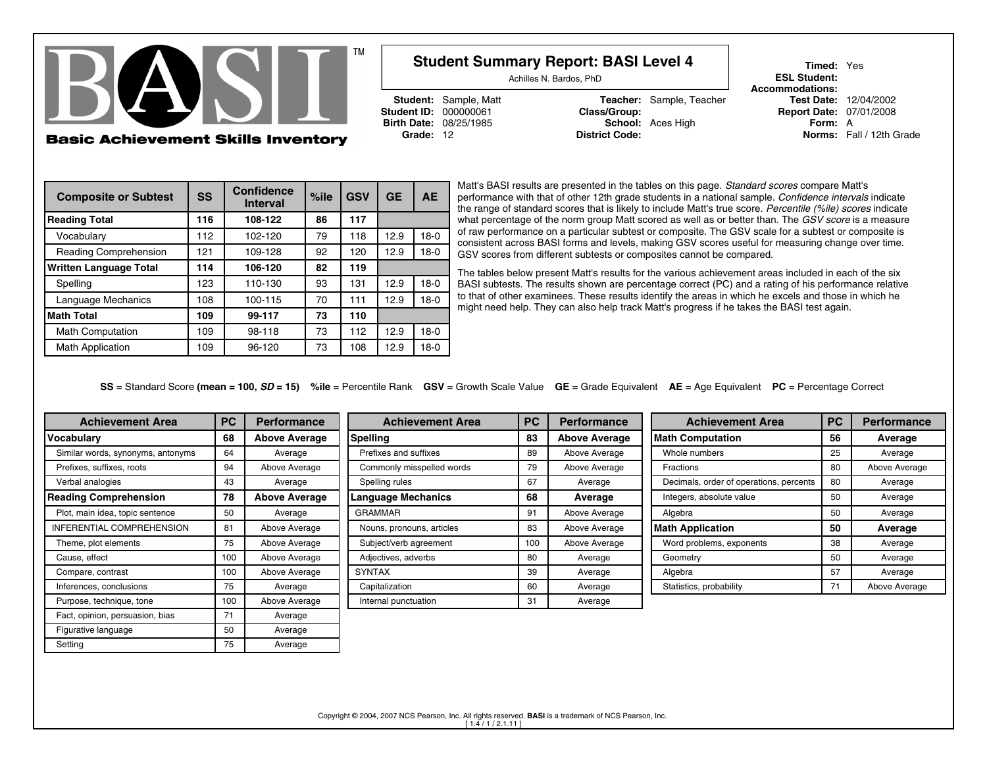

g and the set of the 175 and 175 and 175 and 175 and 175 and 175 and 175 and 175 and 177 and 177 and 177 and 1

Setting

# Achilles N. Bardos, PhD

**Student ID: 000000061** 

**Student:** Sample, Matt **Teacher:** Sample, Teacher<br> **Class/Group: Teacher**<br> **Class/Group: Birth Date:** 08/25/1985 **School:** Aces High **Form:** A**Grade:** 12 **District Code: Norms:** Fall / 12th Grade

**Student Summary Report: BASI Level 4**

**Timed:** Yes**ESL Student: Accommodations:**Test Date: 12/04/2002 **Report Date: 07/01/2008** 

| <b>Composite or Subtest</b>   | <b>SS</b> | <b>Confidence</b><br><b>Interval</b> | $%$ ile | <b>GSV</b> | <b>GE</b> | <b>AE</b> |  |
|-------------------------------|-----------|--------------------------------------|---------|------------|-----------|-----------|--|
| <b>Reading Total</b>          | 116       | 108-122                              | 86      | 117        |           |           |  |
| Vocabulary                    | 112       | 102-120                              | 79      | 118        | 12.9      | $18-0$    |  |
| Reading Comprehension         | 121       | 109-128                              | 92      | 120        | 12.9      | $18-0$    |  |
| <b>Written Language Total</b> | 114       | 106-120                              | 82      | 119        |           |           |  |
| Spelling                      | 123       | 110-130                              | 93      | 131        | 12.9      | $18-0$    |  |
| Language Mechanics            | 108       | 100-115                              | 70      | 111        | 12.9      | $18-0$    |  |
| <b>Math Total</b>             | 109       | 99-117                               | 73      | 110        |           |           |  |
| <b>Math Computation</b>       | 109       | 98-118                               | 73      | 112        | 12.9      | $18-0$    |  |
| <b>Math Application</b>       | 109       | 96-120                               | 73      | 108        | 12.9      | $18-0$    |  |

Matt's BASI results are presented in the tables on this page. *Standard scores* compare Matt's performance with that of other 12th grade students in a national sample. *Confidence intervals* indicate the range of standard scores that is likely to include Matt's true score. *Percentile (%ile) scores* indicate what percentage of the norm group Matt scored as well as or better than. The *GSV score* is a measure of raw performance on a particular subtest or composite. The GSV scale for a subtest or composite is consistent across BASI forms and levels, making GSV scores useful for measuring change over time.GSV scores from different subtests or composites cannot be compared.

The tables below present Matt's results for the various achievement areas included in each of the six BASI subtests. The results shown are percentage correct (PC) and a rating of his performance relative to that of other examinees. These results identify the areas in which he excels and those in which hemight need help. They can also help track Matt's progress if he takes the BASI test again.

**SS** = Standard Score **(mean = 100,** *SD* **= 15) %ile** = Percentile Rank **GSV** = Growth Scale Value **GE** = Grade Equivalent **AE** = Age Equivalent **PC** = Percentage Correct

| <b>Achievement Area</b>           | <b>PC</b>           | <b>Performance</b>   | <b>Achievement Area</b>   | <b>PC</b> | <b>Performance</b>   | <b>Achievement Area</b>                 | <b>PC</b> | <b>Performance</b> |
|-----------------------------------|---------------------|----------------------|---------------------------|-----------|----------------------|-----------------------------------------|-----------|--------------------|
| 68<br>Vocabulary                  |                     | <b>Above Average</b> | <b>Spelling</b>           | 83        | <b>Above Average</b> | Math Computation                        | 56        | Average            |
| Similar words, synonyms, antonyms | 64                  | Average              | Prefixes and suffixes     | 89        | Above Average        | Whole numbers                           | 25        | Average            |
| Prefixes, suffixes, roots         | 94<br>Above Average |                      | Commonly misspelled words | 79        | Above Average        | Fractions                               |           | Above Average      |
| Verbal analogies                  | 43                  |                      | Spelling rules            | 67        | Average              | Decimals, order of operations, percents | 80        | Average            |
| <b>Reading Comprehension</b>      |                     | <b>Above Average</b> | <b>Language Mechanics</b> | 68        | Average              | Integers, absolute value                | 50        | Average            |
| Plot, main idea, topic sentence   | 50                  | Average              | <b>GRAMMAR</b>            | 91        | Above Average        | Algebra                                 | 50        | Average            |
| INFERENTIAL COMPREHENSION         | 81                  | Above Average        | Nouns, pronouns, articles | 83        | Above Average        | <b>Math Application</b>                 | 50        | Average            |
| Theme, plot elements              | 75                  | Above Average        | Subject/verb agreement    | 100       | Above Average        | Word problems, exponents                | 38        | Average            |
| Cause, effect                     | 100                 | Above Average        | Adjectives, adverbs       | 80        | Average              | Geometry                                | 50        | Average            |
| Compare, contrast                 | 100                 | Above Average        | <b>SYNTAX</b>             | 39        | Average              | Algebra                                 | 57        | Average            |
| Inferences, conclusions           | 75                  | Average              | Capitalization            | 60        | Average              | Statistics, probability                 | 71        | Above Average      |
| Purpose, technique, tone          | 100                 | Above Average        | Internal punctuation      | 31        | Average              |                                         |           |                    |
| Fact, opinion, persuasion, bias   | 71                  | Average              |                           |           |                      |                                         |           |                    |
| Figurative language               | 50                  | Average              |                           |           |                      |                                         |           |                    |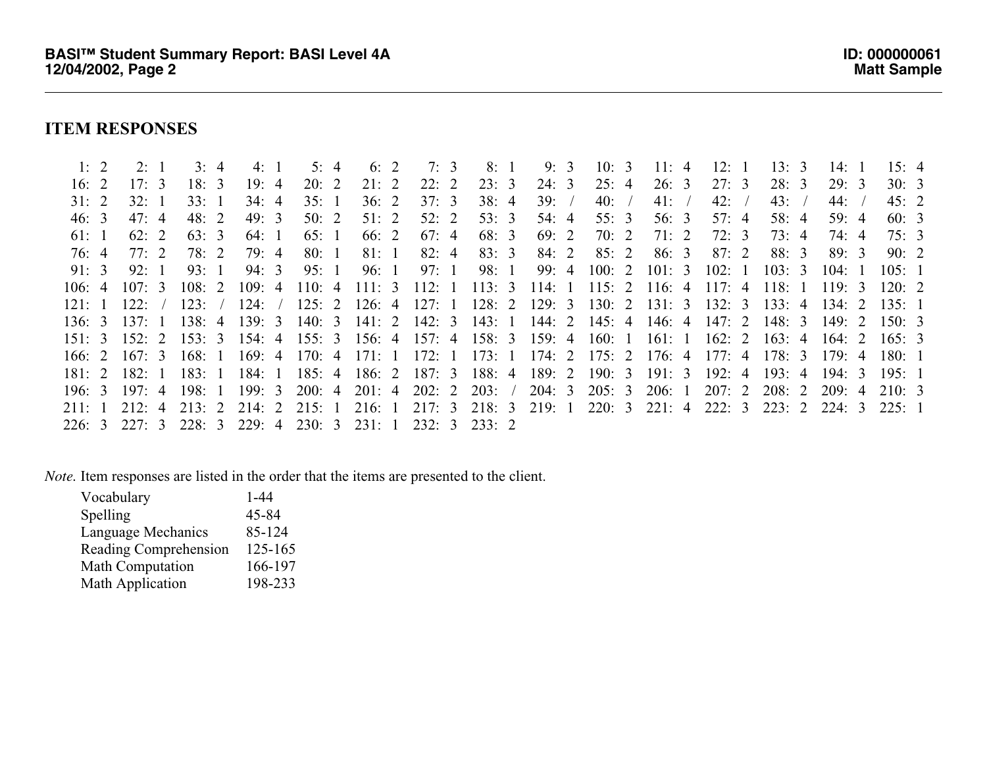# **ITEM RESPONSES**

| 1:2    | 2:1               | 3:4    | 4:1                         | 5:4   | 6:2   | 7:3   | 8: 1                                                                                                     | 9:3   | 10:3         | 11:4  | 12:1  | 13:3                  | 14:1   | 15: 4 |  |
|--------|-------------------|--------|-----------------------------|-------|-------|-------|----------------------------------------------------------------------------------------------------------|-------|--------------|-------|-------|-----------------------|--------|-------|--|
| 16: 2  | 17:3              | 18:3   | 19:4                        | 20:2  | 21:2  | 22:2  | 23:3                                                                                                     | 24:3  | 25:4         | 26:3  | 27:3  | 28:3                  | 29:3   | 30:3  |  |
| 31:2   | 32:1              | 33:1   | 34:4                        | 35:1  | 36:2  | 37:3  | 38:4                                                                                                     | 39: / | 40:          | 41: / | 42: / | 43: /                 | 44: /  | 45:2  |  |
| 46:3   | 47:4              | 48: 2  | 49:3                        | 50:2  | 51:2  | 52:2  | 53:3                                                                                                     | 54: 4 | 55:3         | 56:3  | 57:4  | 58:4                  | 59:4   | 60:3  |  |
| 6!:1   | 62:2              | 63:3   | 64:1                        | 65:1  | 66: 2 | 67:4  | 68: 3                                                                                                    | 69: 2 | 70: 2        | 71:2  | 72:3  | 73: 4                 | 74: 4  | 75:3  |  |
| 76: 4  | 77:2              | 78: 2  | 79: 4                       | 80: 1 | 81: 1 | 82:4  | 83:3                                                                                                     | 84: 2 | 85:2         | 86:3  | 87:2  | 88: 3                 | 89:3   | 90:2  |  |
| 91:3   | 92:1              | 93:1   | 94: 3                       | 95:1  | 96: 1 | 97: 1 | 98: 1                                                                                                    |       | 99: 4 100: 2 | 101:3 | 102:1 | 103:3                 | 104:1  | 105:1 |  |
| 106:4  | 107:3             | 108:2  | 109:4                       |       |       |       | 110: 4 111: 3 112: 1 113: 3 114: 1 115: 2 116: 4 117: 4 118: 1                                           |       |              |       |       |                       | 119:3  | 120:2 |  |
| 121:1  | 122:7             | 123: / | $124:$ /                    |       |       |       | 125: 2 126: 4 127: 1 128: 2 129: 3 130: 2 131: 3 132: 3 133: 4                                           |       |              |       |       |                       | 134:2  | 135:1 |  |
| 136:3  | 137:1             | 138:4  | 139:3                       |       |       |       | 140: 3 141: 2 142: 3 143: 1 144: 2 145: 4 146: 4                                                         |       |              |       |       | $147: 2 \quad 148: 3$ | 149: 2 | 150:3 |  |
|        | $151: 3$ $152: 2$ |        |                             |       |       |       | 153: 3 154: 4 155: 3 156: 4 157: 4 158: 3 159: 4 160: 1 161: 1                                           |       |              |       |       | $162: 2 \quad 163: 4$ | 164: 2 | 165:3 |  |
| 166:2  | 167:3             | 168:1  | 169:4                       |       |       |       | 170: 4 171: 1 172: 1 173: 1 174: 2 175: 2 176: 4 177: 4 178: 3                                           |       |              |       |       |                       | 179:4  | 180:1 |  |
|        | $181: 2$ $182: 1$ | 183:1  | 184: 1                      |       |       |       | 185: 4 186: 2 187: 3 188: 4 189: 2 190: 3 191: 3                                                         |       |              |       | 192:4 | 193:4                 | 194:3  | 195:1 |  |
| 196: 3 | 197:4             | 198:1  |                             |       |       |       | 199: 3 200: 4 201: 4 202: 2 203: / 204: 3 205: 3 206: 1                                                  |       |              |       |       | $207: 2$ $208: 2$     | 209:4  | 210:3 |  |
|        |                   |        |                             |       |       |       | 211: 1 212: 4 213: 2 214: 2 215: 1 216: 1 217: 3 218: 3 219: 1 220: 3 221: 4 222: 3 223: 2 224: 3 225: 1 |       |              |       |       |                       |        |       |  |
|        | 226: 3 227: 3     |        | 228: 3 229: 4 230: 3 231: 1 |       |       |       | 232: 3 233: 2                                                                                            |       |              |       |       |                       |        |       |  |
|        |                   |        |                             |       |       |       |                                                                                                          |       |              |       |       |                       |        |       |  |

*Note.* Item responses are listed in the order that the items are presented to the client.

| Vocabulary                   | $1 - 44$ |
|------------------------------|----------|
| Spelling                     | 45-84    |
| Language Mechanics           | 85-124   |
| <b>Reading Comprehension</b> | 125-165  |
| <b>Math Computation</b>      | 166-197  |
| <b>Math Application</b>      | 198-233  |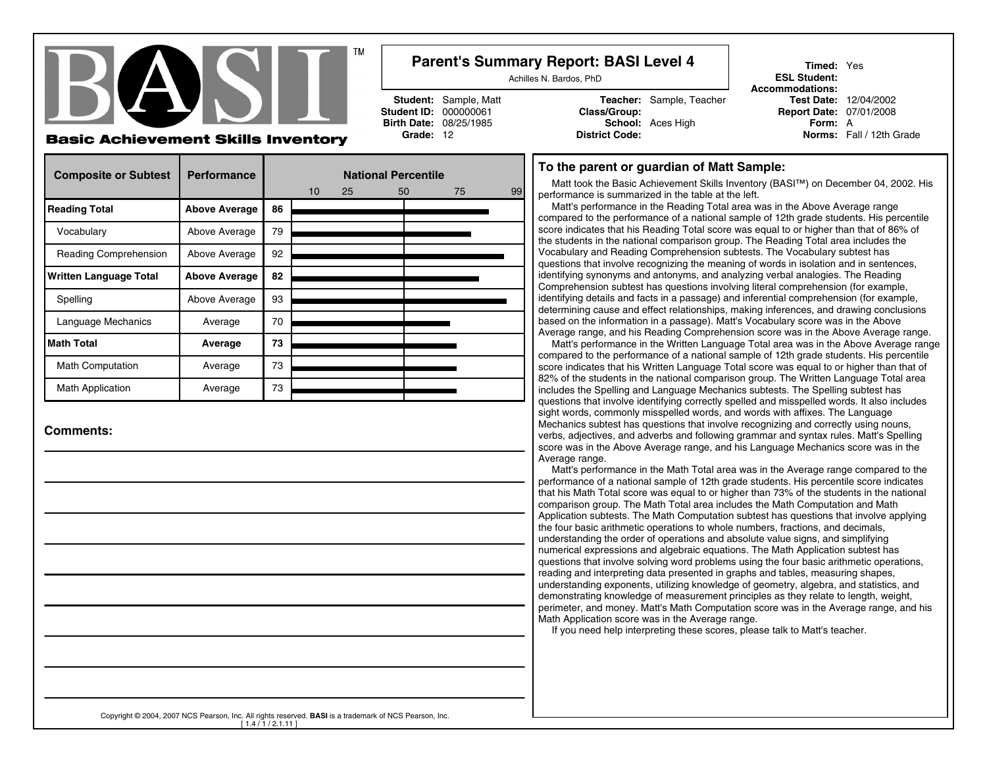

### **Parent's Summary Report: BASI Level 4**

Achilles N. Bardos, PhD

**Student ID: 000000061** 

**Student:** Sample, Matt **Teacher:** Sample, Teacher<br> **Class/Group: Teacher**<br> **Class/Group: Birth Date:** 08/25/1985 **School:** Aces High **Form:** A **Grade:** 12 **District Code: Norms:** Fall / 12th Grade

**Timed:** Yes**ESL Student: Accommodations:**Test Date: 12/04/2002 **Report Date: 07/01/2008** 

### **Basic Achievement Skills Inventory**

| <b>Composite or Subtest</b>   | <b>Performance</b>   | <b>National Percentile</b> |                 |    |    |    |    |
|-------------------------------|----------------------|----------------------------|-----------------|----|----|----|----|
|                               |                      |                            | 10 <sup>°</sup> | 25 | 50 | 75 | 99 |
| <b>Reading Total</b>          | <b>Above Average</b> | 86                         |                 |    |    |    |    |
| Vocabulary                    | Above Average        | 79                         |                 |    |    |    |    |
| Reading Comprehension         | Above Average        | 92                         |                 |    |    |    |    |
| <b>Written Language Total</b> | <b>Above Average</b> | 82                         |                 |    |    |    |    |
| Spelling                      | Above Average        | 93                         |                 |    |    |    |    |
| Language Mechanics            | Average              | 70                         |                 |    |    |    |    |
| <b>Math Total</b>             | Average              | 73                         |                 |    |    |    |    |
| <b>Math Computation</b>       | Average              | 73                         |                 |    |    |    |    |
| <b>Math Application</b>       | Average              | 73                         |                 |    |    |    |    |

**Comments:**

#### **To the parent or guardian of Matt Sample:**

Matt took the Basic Achievement Skills Inventory (BASI™) on December 04, 2002. Hisperformance is summarized in the table at the left.

 Matt's performance in the Reading Total area was in the Above Average range compared to the performance of a national sample of 12th grade students. His percentile score indicates that his Reading Total score was equal to or higher than that of 86% ofthe students in the national comparison group. The Reading Total area includes theVocabulary and Reading Comprehension subtests. The Vocabulary subtest has questions that involve recognizing the meaning of words in isolation and in sentences,identifying synonyms and antonyms, and analyzing verbal analogies. The Reading Comprehension subtest has questions involving literal comprehension (for example, identifying details and facts in a passage) and inferential comprehension (for example, determining cause and effect relationships, making inferences, and drawing conclusionsbased on the information in a passage). Matt's Vocabulary score was in the AboveAverage range, and his Reading Comprehension score was in the Above Average range.

 Matt's performance in the Written Language Total area was in the Above Average rangecompared to the performance of a national sample of 12th grade students. His percentile score indicates that his Written Language Total score was equal to or higher than that of 82% of the students in the national comparison group. The Written Language Total areaincludes the Spelling and Language Mechanics subtests. The Spelling subtest has questions that involve identifying correctly spelled and misspelled words. It also includessight words, commonly misspelled words, and words with affixes. The Language Mechanics subtest has questions that involve recognizing and correctly using nouns, verbs, adjectives, and adverbs and following grammar and syntax rules. Matt's Spelling score was in the Above Average range, and his Language Mechanics score was in theAverage range.

 Matt's performance in the Math Total area was in the Average range compared to the performance of a national sample of 12th grade students. His percentile score indicates that his Math Total score was equal to or higher than 73% of the students in the nationalcomparison group. The Math Total area includes the Math Computation and Math Application subtests. The Math Computation subtest has questions that involve applyingthe four basic arithmetic operations to whole numbers, fractions, and decimals, understanding the order of operations and absolute value signs, and simplifying numerical expressions and algebraic equations. The Math Application subtest has questions that involve solving word problems using the four basic arithmetic operations,reading and interpreting data presented in graphs and tables, measuring shapes, understanding exponents, utilizing knowledge of geometry, algebra, and statistics, and demonstrating knowledge of measurement principles as they relate to length, weight, perimeter, and money. Matt's Math Computation score was in the Average range, and hisMath Application score was in the Average range.

If you need help interpreting these scores, please talk to Matt's teacher.